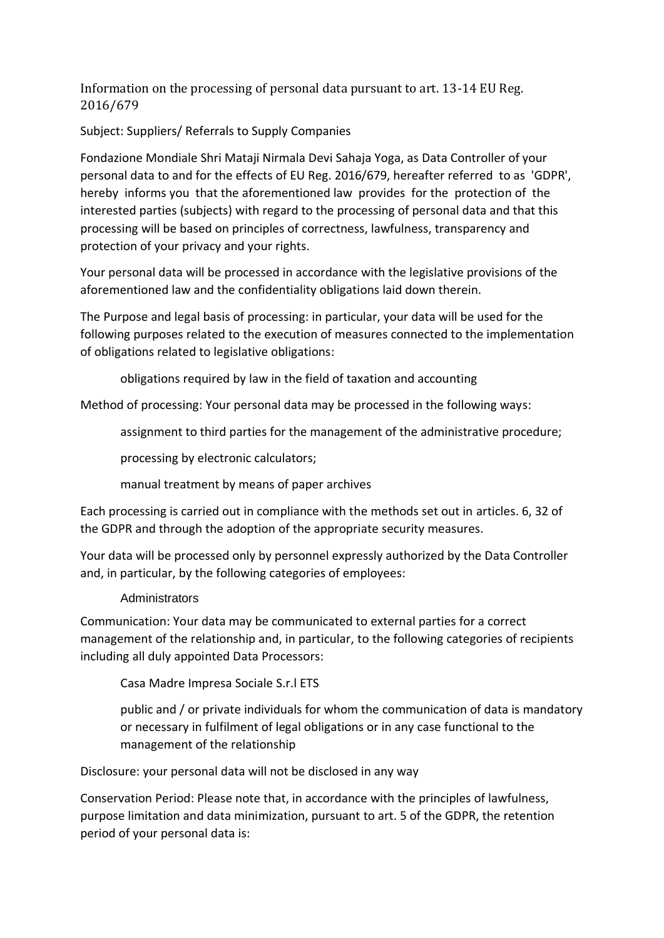Information on the processing of personal data pursuant to art. 13-14 EU Reg. 2016/679

Subject: Suppliers/ Referrals to Supply Companies

Fondazione Mondiale Shri Mataji Nirmala Devi Sahaja Yoga, as Data Controller of your personal data to and for the effects of EU Reg. 2016/679, hereafter referred to as 'GDPR', hereby informs you that the aforementioned law provides for the protection of the interested parties (subjects) with regard to the processing of personal data and that this processing will be based on principles of correctness, lawfulness, transparency and protection of your privacy and your rights.

Your personal data will be processed in accordance with the legislative provisions of the aforementioned law and the confidentiality obligations laid down therein.

The Purpose and legal basis of processing: in particular, your data will be used for the following purposes related to the execution of measures connected to the implementation of obligations related to legislative obligations:

obligations required by law in the field of taxation and accounting

Method of processing: Your personal data may be processed in the following ways:

assignment to third parties for the management of the administrative procedure;

processing by electronic calculators;

manual treatment by means of paper archives

Each processing is carried out in compliance with the methods set out in articles. 6, 32 of the GDPR and through the adoption of the appropriate security measures.

Your data will be processed only by personnel expressly authorized by the Data Controller and, in particular, by the following categories of employees:

## Administrators

Communication: Your data may be communicated to external parties for a correct management of the relationship and, in particular, to the following categories of recipients including all duly appointed Data Processors:

Casa Madre Impresa Sociale S.r.l ETS

public and / or private individuals for whom the communication of data is mandatory or necessary in fulfilment of legal obligations or in any case functional to the management of the relationship

Disclosure: your personal data will not be disclosed in any way

Conservation Period: Please note that, in accordance with the principles of lawfulness, purpose limitation and data minimization, pursuant to art. 5 of the GDPR, the retention period of your personal data is: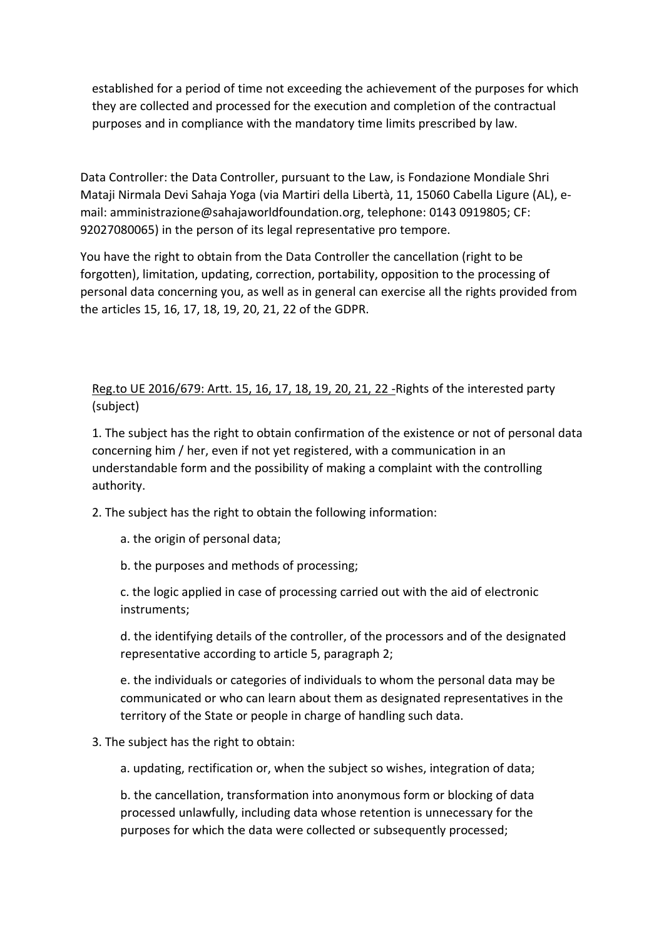established for a period of time not exceeding the achievement of the purposes for which they are collected and processed for the execution and completion of the contractual purposes and in compliance with the mandatory time limits prescribed by law.

Data Controller: the Data Controller, pursuant to the Law, is Fondazione Mondiale Shri Mataji Nirmala Devi Sahaja Yoga (via Martiri della Libertà, 11, 15060 Cabella Ligure (AL), email: amministrazione@sahajaworldfoundation.org, telephone: 0143 0919805; CF: 92027080065) in the person of its legal representative pro tempore.

You have the right to obtain from the Data Controller the cancellation (right to be forgotten), limitation, updating, correction, portability, opposition to the processing of personal data concerning you, as well as in general can exercise all the rights provided from the articles 15, 16, 17, 18, 19, 20, 21, 22 of the GDPR.

## Reg.to UE 2016/679: Artt. 15, 16, 17, 18, 19, 20, 21, 22 -Rights of the interested party (subject)

1. The subject has the right to obtain confirmation of the existence or not of personal data concerning him / her, even if not yet registered, with a communication in an understandable form and the possibility of making a complaint with the controlling authority.

2. The subject has the right to obtain the following information:

- a. the origin of personal data;
- b. the purposes and methods of processing;

c. the logic applied in case of processing carried out with the aid of electronic instruments;

d. the identifying details of the controller, of the processors and of the designated representative according to article 5, paragraph 2;

e. the individuals or categories of individuals to whom the personal data may be communicated or who can learn about them as designated representatives in the territory of the State or people in charge of handling such data.

## 3. The subject has the right to obtain:

a. updating, rectification or, when the subject so wishes, integration of data;

b. the cancellation, transformation into anonymous form or blocking of data processed unlawfully, including data whose retention is unnecessary for the purposes for which the data were collected or subsequently processed;